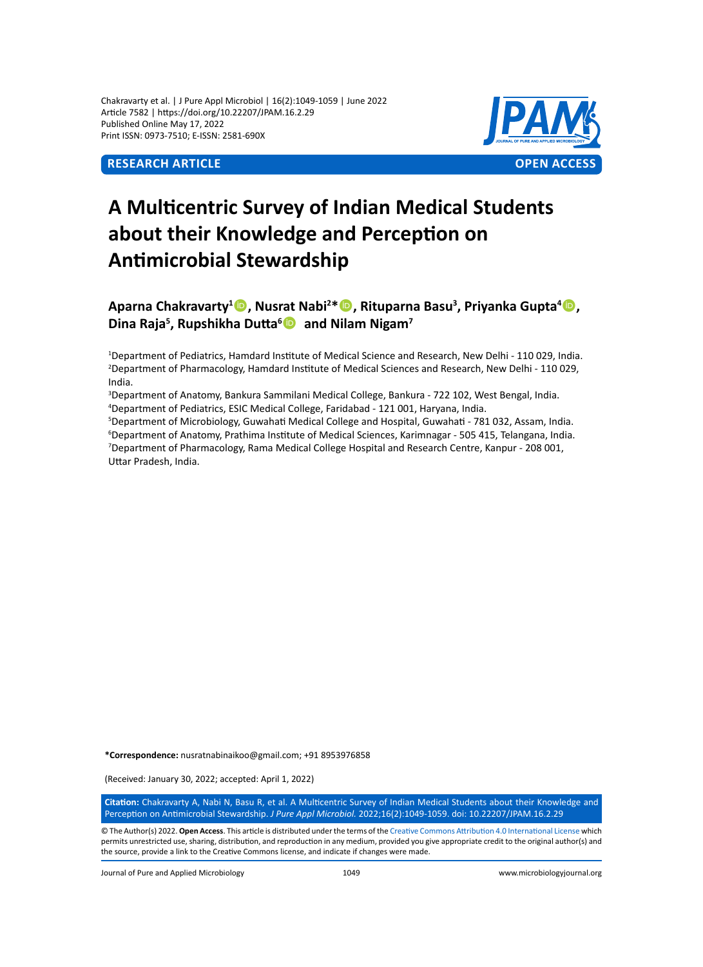Chakravarty et al. | J Pure Appl Microbiol | 16(2):1049-1059 | June 2022 Article 7582 | https://doi.org/10.22207/JPAM.16.2.29 Published Online May 17, 2022 Print ISSN: 0973-7510; E-ISSN: 2581-690X



# **A Multicentric Survey of Indian Medical Students about their Knowledge and Perception on Antimicrobial Stewardship**

**Aparna Chakravarty<sup>1</sup><sup>®</sup>, Nusrat Nabi<sup>2\*</sup> <sup>®</sup>, Rituparna Basu<sup>3</sup>, Priyanka Gupta<sup>4</sup> ®, Dina Raja5 , Rupshikha Dutta<sup>6</sup> and Nilam Nigam<sup>7</sup>**

1 Department of Pediatrics, Hamdard Institute of Medical Science and Research, New Delhi - 110 029, India. 2 Department of Pharmacology, Hamdard Institute of Medical Sciences and Research, New Delhi - 110 029, India.

3 Department of Anatomy, Bankura Sammilani Medical College, Bankura - 722 102, West Bengal, India. 4 Department of Pediatrics, ESIC Medical College, Faridabad - 121 001, Haryana, India.

 Department of Microbiology, Guwahati Medical College and Hospital, Guwahati - 781 032, Assam, India. Department of Anatomy, Prathima Institute of Medical Sciences, Karimnagar - 505 415, Telangana, India. Department of Pharmacology, Rama Medical College Hospital and Research Centre, Kanpur - 208 001, Uttar Pradesh, India.

**\*Correspondence:** nusratnabinaikoo@gmail.com; +91 8953976858

(Received: January 30, 2022; accepted: April 1, 2022)

**Citation:** Chakravarty A, Nabi N, Basu R, et al. A Multicentric Survey of Indian Medical Students about their Knowledge and Perception on Antimicrobial Stewardship. *J Pure Appl Microbiol.* 2022;16(2):1049-1059. doi: 10.22207/JPAM.16.2.29

© The Author(s) 2022. **Open Access**. This article is distributed under the terms of the [Creative Commons Attribution 4.0 International License](https://creativecommons.org/licenses/by/4.0/) which permits unrestricted use, sharing, distribution, and reproduction in any medium, provided you give appropriate credit to the original author(s) and the source, provide a link to the Creative Commons license, and indicate if changes were made.

Journal of Pure and Applied Microbiology 1049 www.microbiologyjournal.org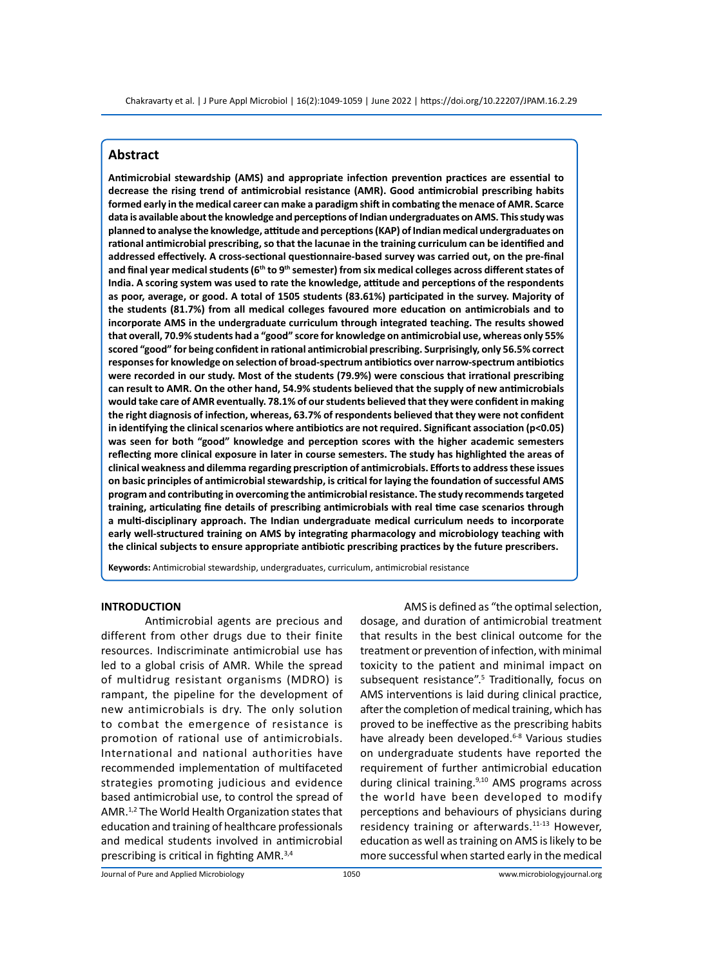# **Abstract**

**Antimicrobial stewardship (AMS) and appropriate infection prevention practices are essential to decrease the rising trend of antimicrobial resistance (AMR). Good antimicrobial prescribing habits formed early in the medical career can make a paradigm shift in combating the menace of AMR. Scarce data is available about the knowledge and perceptions of Indian undergraduates on AMS. This study was planned to analyse the knowledge, attitude and perceptions (KAP) of Indian medical undergraduates on rational antimicrobial prescribing, so that the lacunae in the training curriculum can be identified and addressed effectively. A cross-sectional questionnaire-based survey was carried out, on the pre-final and final year medical students (6th to 9th semester) from six medical colleges across different states of India. A scoring system was used to rate the knowledge, attitude and perceptions of the respondents as poor, average, or good. A total of 1505 students (83.61%) participated in the survey. Majority of the students (81.7%) from all medical colleges favoured more education on antimicrobials and to incorporate AMS in the undergraduate curriculum through integrated teaching. The results showed that overall, 70.9% students had a "good" score for knowledge on antimicrobial use, whereas only 55% scored "good" for being confident in rational antimicrobial prescribing. Surprisingly, only 56.5% correct responses for knowledge on selection of broad-spectrum antibiotics over narrow-spectrum antibiotics were recorded in our study. Most of the students (79.9%) were conscious that irrational prescribing can result to AMR. On the other hand, 54.9% students believed that the supply of new antimicrobials would take care of AMR eventually. 78.1% of our students believed that they were confident in making the right diagnosis of infection, whereas, 63.7% of respondents believed that they were not confident in identifying the clinical scenarios where antibiotics are not required. Significant association (p<0.05) was seen for both "good" knowledge and perception scores with the higher academic semesters reflecting more clinical exposure in later in course semesters. The study has highlighted the areas of clinical weakness and dilemma regarding prescription of antimicrobials. Efforts to address these issues on basic principles of antimicrobial stewardship, is critical for laying the foundation of successful AMS program and contributing in overcoming the antimicrobial resistance. The study recommends targeted training, articulating fine details of prescribing antimicrobials with real time case scenarios through a multi-disciplinary approach. The Indian undergraduate medical curriculum needs to incorporate early well-structured training on AMS by integrating pharmacology and microbiology teaching with the clinical subjects to ensure appropriate antibiotic prescribing practices by the future prescribers.**

**Keywords:** Antimicrobial stewardship, undergraduates, curriculum, antimicrobial resistance

#### **INTRODUCTION**

Antimicrobial agents are precious and different from other drugs due to their finite resources. Indiscriminate antimicrobial use has led to a global crisis of AMR. While the spread of multidrug resistant organisms (MDRO) is rampant, the pipeline for the development of new antimicrobials is dry. The only solution to combat the emergence of resistance is promotion of rational use of antimicrobials. International and national authorities have recommended implementation of multifaceted strategies promoting judicious and evidence based antimicrobial use, to control the spread of AMR.1,2 The World Health Organization states that education and training of healthcare professionals and medical students involved in antimicrobial prescribing is critical in fighting AMR.3,4

AMS is defined as "the optimal selection, dosage, and duration of antimicrobial treatment that results in the best clinical outcome for the treatment or prevention of infection, with minimal toxicity to the patient and minimal impact on subsequent resistance".<sup>5</sup> Traditionally, focus on AMS interventions is laid during clinical practice, after the completion of medical training, which has proved to be ineffective as the prescribing habits have already been developed.<sup>6-8</sup> Various studies on undergraduate students have reported the requirement of further antimicrobial education during clinical training.<sup>9,10</sup> AMS programs across the world have been developed to modify perceptions and behaviours of physicians during residency training or afterwards.<sup>11-13</sup> However, education as well as training on AMS is likely to be more successful when started early in the medical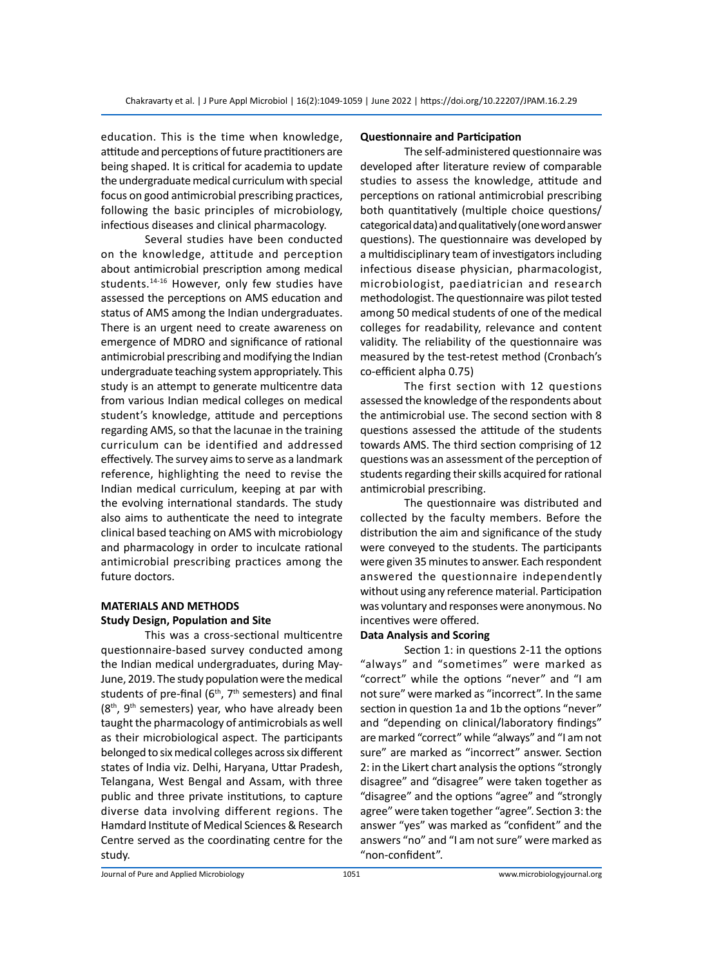education. This is the time when knowledge, attitude and perceptions of future practitioners are being shaped. It is critical for academia to update the undergraduate medical curriculum with special focus on good antimicrobial prescribing practices, following the basic principles of microbiology, infectious diseases and clinical pharmacology.

Several studies have been conducted on the knowledge, attitude and perception about antimicrobial prescription among medical students.<sup>14-16</sup> However, only few studies have assessed the perceptions on AMS education and status of AMS among the Indian undergraduates. There is an urgent need to create awareness on emergence of MDRO and significance of rational antimicrobial prescribing and modifying the Indian undergraduate teaching system appropriately. This study is an attempt to generate multicentre data from various Indian medical colleges on medical student's knowledge, attitude and perceptions regarding AMS, so that the lacunae in the training curriculum can be identified and addressed effectively. The survey aims to serve as a landmark reference, highlighting the need to revise the Indian medical curriculum, keeping at par with the evolving international standards. The study also aims to authenticate the need to integrate clinical based teaching on AMS with microbiology and pharmacology in order to inculcate rational antimicrobial prescribing practices among the future doctors.

# **MATERIALS AND METHODS Study Design, Population and Site**

This was a cross-sectional multicentre questionnaire-based survey conducted among the Indian medical undergraduates, during May-June, 2019. The study population were the medical students of pre-final ( $6<sup>th</sup>$ ,  $7<sup>th</sup>$  semesters) and final  $(8<sup>th</sup>, 9<sup>th</sup>$  semesters) year, who have already been taught the pharmacology of antimicrobials as well as their microbiological aspect. The participants belonged to six medical colleges across six different states of India viz. Delhi, Haryana, Uttar Pradesh, Telangana, West Bengal and Assam, with three public and three private institutions, to capture diverse data involving different regions. The Hamdard Institute of Medical Sciences & Research Centre served as the coordinating centre for the study.

# **Questionnaire and Participation**

The self-administered questionnaire was developed after literature review of comparable studies to assess the knowledge, attitude and perceptions on rational antimicrobial prescribing both quantitatively (multiple choice questions/ categorical data) and qualitatively (one word answer questions). The questionnaire was developed by a multidisciplinary team of investigators including infectious disease physician, pharmacologist, microbiologist, paediatrician and research methodologist. The questionnaire was pilot tested among 50 medical students of one of the medical colleges for readability, relevance and content validity. The reliability of the questionnaire was measured by the test-retest method (Cronbach's co-efficient alpha 0.75)

The first section with 12 questions assessed the knowledge of the respondents about the antimicrobial use. The second section with 8 questions assessed the attitude of the students towards AMS. The third section comprising of 12 questions was an assessment of the perception of students regarding their skills acquired for rational antimicrobial prescribing.

The questionnaire was distributed and collected by the faculty members. Before the distribution the aim and significance of the study were conveyed to the students. The participants were given 35 minutes to answer. Each respondent answered the questionnaire independently without using any reference material. Participation was voluntary and responses were anonymous. No incentives were offered.

# **Data Analysis and Scoring**

Section 1: in questions 2-11 the options "always" and "sometimes" were marked as "correct" while the options "never" and "I am not sure" were marked as "incorrect". In the same section in question 1a and 1b the options "never" and "depending on clinical/laboratory findings" are marked "correct" while "always" and "I am not sure" are marked as "incorrect" answer. Section 2: in the Likert chart analysis the options "strongly disagree" and "disagree" were taken together as "disagree" and the options "agree" and "strongly agree" were taken together "agree". Section 3: the answer "yes" was marked as "confident" and the answers "no" and "I am not sure" were marked as "non-confident".

Journal of Pure and Applied Microbiology 1051 www.microbiologyjournal.org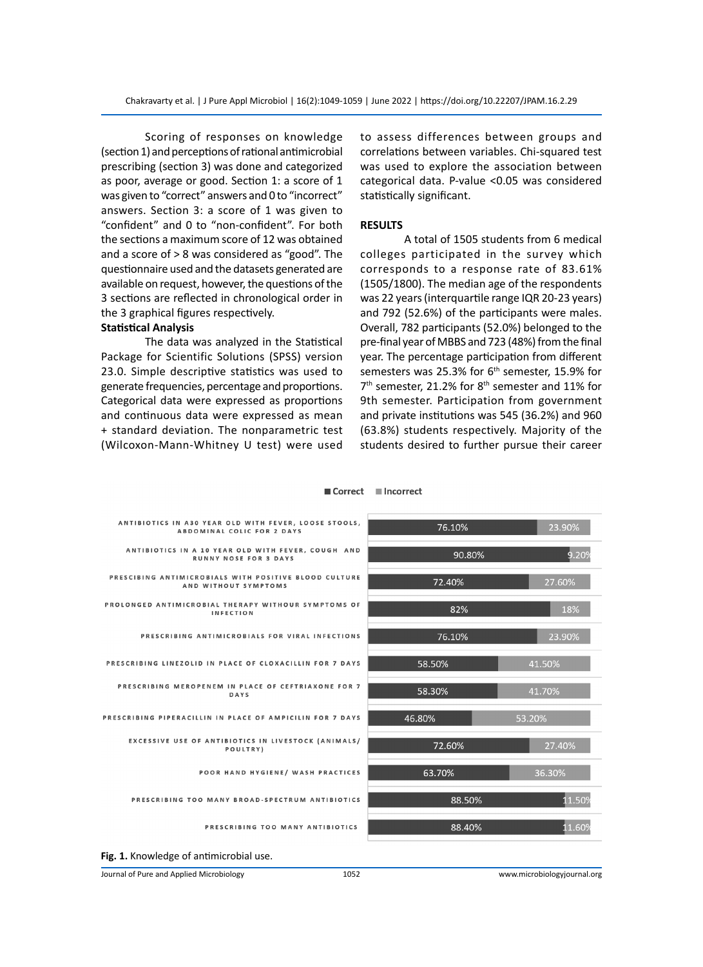Scoring of responses on knowledge (section 1) and perceptions of rational antimicrobial prescribing (section 3) was done and categorized as poor, average or good. Section 1: a score of 1 was given to "correct" answers and 0 to "incorrect" answers. Section 3: a score of 1 was given to "confident" and 0 to "non-confident". For both the sections a maximum score of 12 was obtained and a score of > 8 was considered as "good". The questionnaire used and the datasets generated are available on request, however, the questions of the 3 sections are reflected in chronological order in the 3 graphical figures respectively.

#### **Statistical Analysis**

The data was analyzed in the Statistical Package for Scientific Solutions (SPSS) version 23.0. Simple descriptive statistics was used to generate frequencies, percentage and proportions. Categorical data were expressed as proportions and continuous data were expressed as mean + standard deviation. The nonparametric test (Wilcoxon-Mann-Whitney U test) were used to assess differences between groups and correlations between variables. Chi-squared test was used to explore the association between categorical data. P-value <0.05 was considered statistically significant.

#### **RESULTS**

A total of 1505 students from 6 medical colleges participated in the survey which corresponds to a response rate of 83.61% (1505/1800). The median age of the respondents was 22 years (interquartile range IQR 20-23 years) and 792 (52.6%) of the participants were males. Overall, 782 participants (52.0%) belonged to the pre-final year of MBBS and 723 (48%) from the final year. The percentage participation from different semesters was 25.3% for 6<sup>th</sup> semester, 15.9% for  $7<sup>th</sup>$  semester, 21.2% for  $8<sup>th</sup>$  semester and 11% for 9th semester. Participation from government and private institutions was 545 (36.2%) and 960 (63.8%) students respectively. Majority of the students desired to further pursue their career

| ANTIBIOTICS IN A30 YEAR OLD WITH FEVER, LOOSE STOOLS,<br>ABDOMINAL COLIC FOR 2 DAYS | 76.10% | 23.90% |
|-------------------------------------------------------------------------------------|--------|--------|
| ANTIBIOTICS IN A 10 YEAR OLD WITH FEVER, COUGH AND<br><b>RUNNY NOSE FOR 3 DAYS</b>  | 90.80% | 9.209  |
| PRESCIBING ANTIMICROBIALS WITH POSITIVE BLOOD CULTURE<br>AND WITHOUT SYMPTOMS       | 72.40% | 27.60% |
| PROLONGED ANTIMICROBIAL THERAPY WITHOUR SYMPTOMS OF<br><b>INFECTION</b>             | 82%    | 18%    |
| PRESCRIBING ANTIMICROBIALS FOR VIRAL INFECTIONS                                     | 76.10% | 23.90% |
| PRESCRIBING LINEZOLID IN PLACE OF CLOXACILLIN FOR 7 DAYS                            | 58.50% | 41.50% |
| PRESCRIBING MEROPENEM IN PLACE OF CEFTRIAXONE FOR 7<br>DAYS                         | 58.30% | 41.70% |
| PRESCRIBING PIPERACILLIN IN PLACE OF AMPICILIN FOR 7 DAYS                           | 46.80% | 53.20% |
| EXCESSIVE USE OF ANTIBIOTICS IN LIVESTOCK (ANIMALS/<br>POULTRY)                     | 72.60% | 27.40% |
| POOR HAND HYGIENE/ WASH PRACTICES                                                   | 63.70% | 36.30% |
| PRESCRIBING TOO MANY BROAD-SPECTRUM ANTIBIOTICS                                     | 88.50% | 11.50% |
| PRESCRIBING TOO MANY ANTIBIOTICS                                                    | 88.40% | 11.609 |

#### Correct **Incorrect**

**Fig. 1.** Knowledge of antimicrobial use.

Journal of Pure and Applied Microbiology 1052 www.microbiologyjournal.org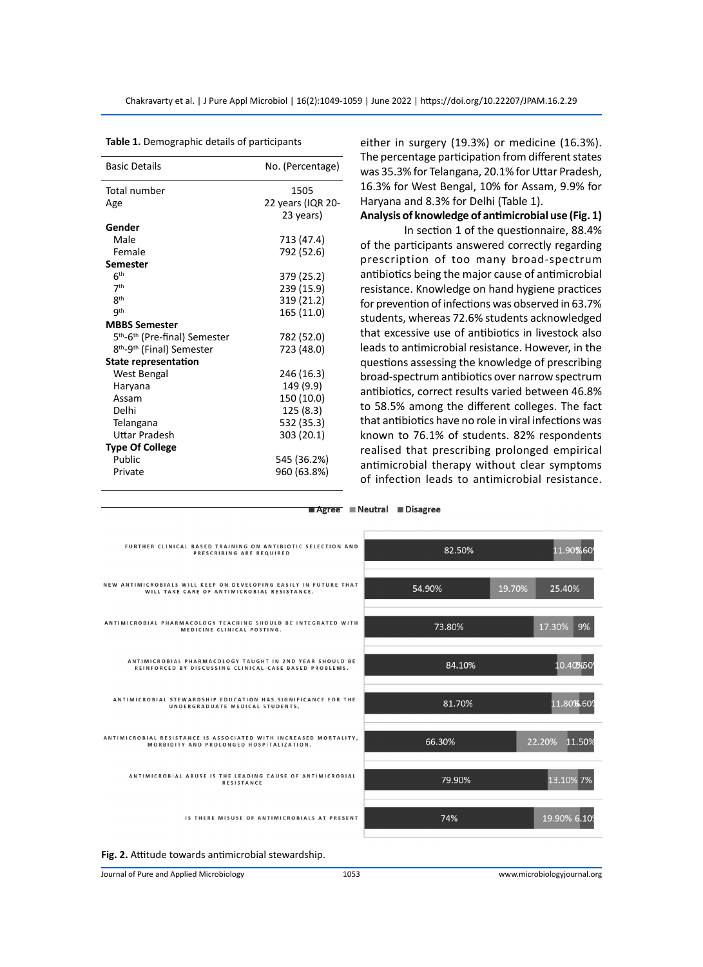| <b>Basic Details</b>                                  | No. (Percentage)  |
|-------------------------------------------------------|-------------------|
| Total number                                          | 1505              |
| Age                                                   | 22 years (IQR 20- |
|                                                       | 23 years)         |
| Gender                                                |                   |
| Male                                                  | 713 (47.4)        |
| Female                                                | 792 (52.6)        |
| <b>Semester</b>                                       |                   |
| 6 <sup>th</sup>                                       | 379 (25.2)        |
| 7 <sup>th</sup>                                       | 239 (15.9)        |
| 8 <sup>th</sup>                                       | 319 (21.2)        |
| <b>gth</b>                                            | 165 (11.0)        |
| <b>MBBS Semester</b>                                  |                   |
| 5 <sup>th</sup> -6 <sup>th</sup> (Pre-final) Semester | 782 (52.0)        |
| 8 <sup>th</sup> -9 <sup>th</sup> (Final) Semester     | 723 (48.0)        |
| <b>State representation</b>                           |                   |
| West Bengal                                           | 246 (16.3)        |
| Haryana                                               | 149 (9.9)         |
| Assam                                                 | 150 (10.0)        |
| Delhi                                                 | 125 (8.3)         |
| Telangana                                             | 532 (35.3)        |
| Uttar Pradesh                                         | 303 (20.1)        |
| <b>Type Of College</b>                                |                   |
| Public                                                | 545 (36.2%)       |
| Private                                               | 960 (63.8%)       |
|                                                       |                   |

**Table 1.** Demographic details of participants

either in surgery (19.3%) or medicine (16.3%). The percentage participation from different states was 35.3% for Telangana, 20.1% for Uttar Pradesh, 16.3% for West Bengal, 10% for Assam, 9.9% for Haryana and 8.3% for Delhi (Table 1).

**Analysis of knowledge of antimicrobial use (Fig. 1)**

In section 1 of the questionnaire, 88.4% of the participants answered correctly regarding prescription of too many broad-spectrum antibiotics being the major cause of antimicrobial resistance. Knowledge on hand hygiene practices for prevention of infections was observed in 63.7% students, whereas 72.6% students acknowledged that excessive use of antibiotics in livestock also leads to antimicrobial resistance. However, in the questions assessing the knowledge of prescribing broad-spectrum antibiotics over narrow spectrum antibiotics, correct results varied between 46.8% to 58.5% among the different colleges. The fact that antibiotics have no role in viral infections was known to 76.1% of students. 82% respondents realised that prescribing prolonged empirical antimicrobial therapy without clear symptoms of infection leads to antimicrobial resistance.

Agree Neutral Disagree FURTHER CLINICAL BASED TRAINING ON ANTIBIOTIC SELECTION AND 82.50% 11.90%60 PRESCRIBING ARE REQUIRED NEW ANTIMICROBIALS WILL KEEP ON DEVELOPING EASILY IN FUTURE THAT<br>WILL TAKE CARE OF ANTIMICROBIAL RESISTANCE. 54.90% 19.70% 25.40% ANTIMICROBIAL PHARMACOLOGY TEACHING SHOULD BE INTEGRATED WITH MEDICINE CLINICAL POSTING. 73.80% 17.30% 9% ANTIMICROBIAL PHARMACOLOGY TAUGHT IN 2ND YEAR SHOULD BE<br>REINFORCED BY DISCUSSING CLINICAL-CASE BASED PROBLEMS. 84.10% 10.40%50 ANTIMICROBIAL STEWARDSHIP EDUCATION HAS SIGNIFICANCE FOR THE UNDERGRADUATE MEDICAL STUDENTS, 11.80%.60 81.70% ANTIMICROBIAL RESISTANCE IS ASSOCIATED WITH INCREASED MORTALITY,<br>MORBIDITY AND PROLONGED HOSPITALIZATION. 66.30% 22.20% 11.509 ANTIMICROBIAL ABUSE IS THE LEADING CAUSE OF ANTIMICROBIAL RESISTANCE 13.10% 7% 79.90% IS THERE MISUSE OF ANTIMICROBIALS AT PRESENT 74% 19.90% 6.10 **Fig. 2.** Attitude towards antimicrobial stewardship. Journal of Pure and Applied Microbiology 1053 www.microbiologyjournal.org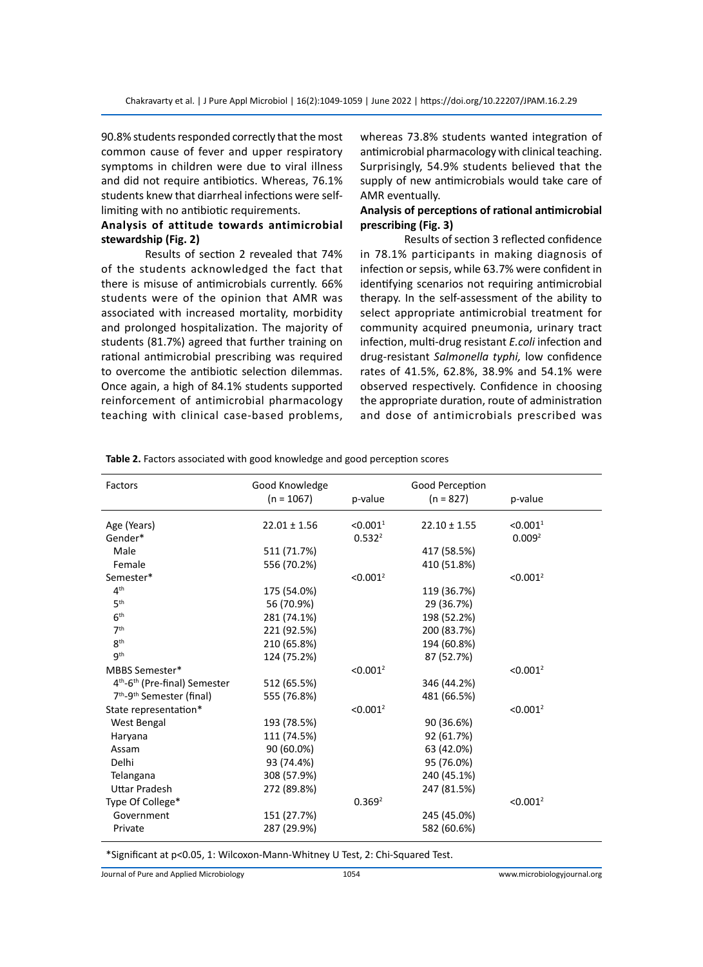90.8% students responded correctly that the most common cause of fever and upper respiratory symptoms in children were due to viral illness and did not require antibiotics. Whereas, 76.1% students knew that diarrheal infections were selflimiting with no antibiotic requirements.

# **Analysis of attitude towards antimicrobial stewardship (Fig. 2)**

Results of section 2 revealed that 74% of the students acknowledged the fact that there is misuse of antimicrobials currently. 66% students were of the opinion that AMR was associated with increased mortality, morbidity and prolonged hospitalization. The majority of students (81.7%) agreed that further training on rational antimicrobial prescribing was required to overcome the antibiotic selection dilemmas. Once again, a high of 84.1% students supported reinforcement of antimicrobial pharmacology teaching with clinical case-based problems, whereas 73.8% students wanted integration of antimicrobial pharmacology with clinical teaching. Surprisingly, 54.9% students believed that the supply of new antimicrobials would take care of AMR eventually.

# **Analysis of perceptions of rational antimicrobial prescribing (Fig. 3)**

Results of section 3 reflected confidence in 78.1% participants in making diagnosis of infection or sepsis, while 63.7% were confident in identifying scenarios not requiring antimicrobial therapy. In the self-assessment of the ability to select appropriate antimicrobial treatment for community acquired pneumonia, urinary tract infection, multi-drug resistant *E.coli* infection and drug-resistant *Salmonella typhi,* low confidence rates of 41.5%, 62.8%, 38.9% and 54.1% were observed respectively. Confidence in choosing the appropriate duration, route of administration and dose of antimicrobials prescribed was

| Factors                                               | Good Knowledge<br>$(n = 1067)$ | p-value              | Good Perception<br>$(n = 827)$ | p-value              |
|-------------------------------------------------------|--------------------------------|----------------------|--------------------------------|----------------------|
| Age (Years)                                           | $22.01 \pm 1.56$               | < 0.001 <sup>1</sup> | $22.10 \pm 1.55$               | < 0.001 <sup>1</sup> |
| Gender*                                               |                                | 0.532 <sup>2</sup>   |                                | 0.009 <sup>2</sup>   |
| Male                                                  | 511 (71.7%)                    |                      | 417 (58.5%)                    |                      |
| Female                                                | 556 (70.2%)                    |                      | 410 (51.8%)                    |                      |
| Semester*                                             |                                | < 0.001 <sup>2</sup> |                                | < 0.001 <sup>2</sup> |
| 4 <sup>th</sup>                                       | 175 (54.0%)                    |                      | 119 (36.7%)                    |                      |
| 5 <sup>th</sup>                                       | 56 (70.9%)                     |                      | 29 (36.7%)                     |                      |
| 6 <sup>th</sup>                                       | 281 (74.1%)                    |                      | 198 (52.2%)                    |                      |
| 7 <sup>th</sup>                                       | 221 (92.5%)                    |                      | 200 (83.7%)                    |                      |
| <b>gth</b>                                            | 210 (65.8%)                    |                      | 194 (60.8%)                    |                      |
| <b>gth</b>                                            | 124 (75.2%)                    |                      | 87 (52.7%)                     |                      |
| MBBS Semester*                                        |                                | < 0.001 <sup>2</sup> |                                | < 0.001 <sup>2</sup> |
| 4 <sup>th</sup> -6 <sup>th</sup> (Pre-final) Semester | 512 (65.5%)                    |                      | 346 (44.2%)                    |                      |
| 7 <sup>th</sup> -9 <sup>th</sup> Semester (final)     | 555 (76.8%)                    |                      | 481 (66.5%)                    |                      |
| State representation*                                 |                                | < 0.001 <sup>2</sup> |                                | < 0.001 <sup>2</sup> |
| West Bengal                                           | 193 (78.5%)                    |                      | 90 (36.6%)                     |                      |
| Haryana                                               | 111 (74.5%)                    |                      | 92 (61.7%)                     |                      |
| Assam                                                 | 90 (60.0%)                     |                      | 63 (42.0%)                     |                      |
| Delhi                                                 | 93 (74.4%)                     |                      | 95 (76.0%)                     |                      |
| Telangana                                             | 308 (57.9%)                    |                      | 240 (45.1%)                    |                      |
| <b>Uttar Pradesh</b>                                  | 272 (89.8%)                    |                      | 247 (81.5%)                    |                      |
| Type Of College*                                      |                                | 0.369 <sup>2</sup>   |                                | < 0.001 <sup>2</sup> |
| Government                                            | 151 (27.7%)                    |                      | 245 (45.0%)                    |                      |
| Private                                               | 287 (29.9%)                    |                      | 582 (60.6%)                    |                      |

**Table 2.** Factors associated with good knowledge and good perception scores

\*Significant at p<0.05, 1: Wilcoxon-Mann-Whitney U Test, 2: Chi-Squared Test.

Journal of Pure and Applied Microbiology 1054 www.microbiologyjournal.org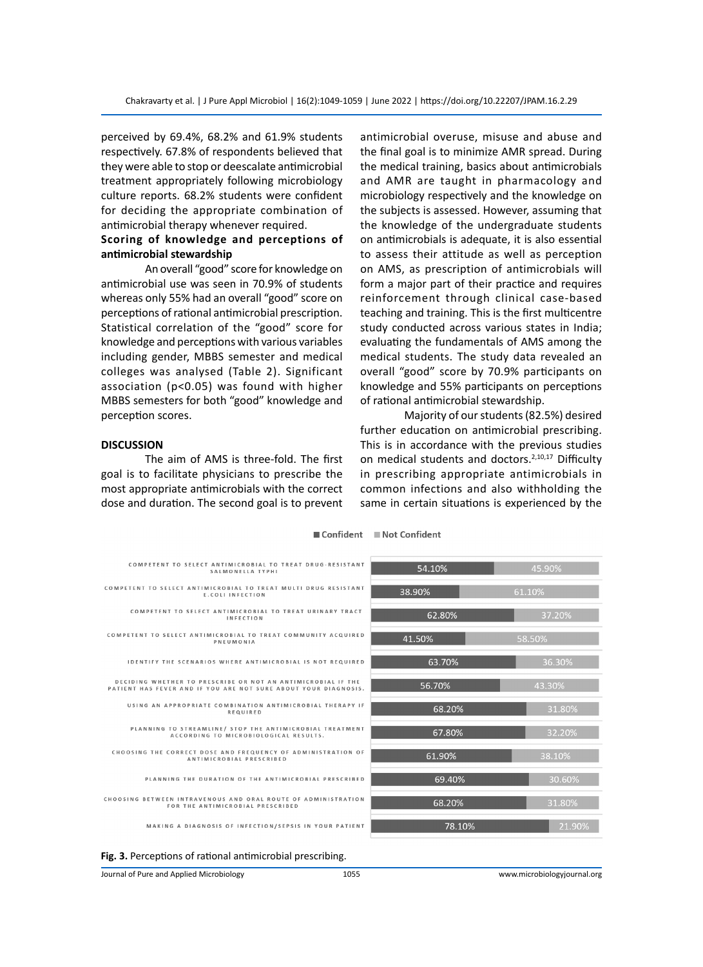perceived by 69.4%, 68.2% and 61.9% students respectively. 67.8% of respondents believed that they were able to stop or deescalate antimicrobial treatment appropriately following microbiology culture reports. 68.2% students were confident for deciding the appropriate combination of antimicrobial therapy whenever required.

# **Scoring of knowledge and perceptions of antimicrobial stewardship**

An overall "good" score for knowledge on antimicrobial use was seen in 70.9% of students whereas only 55% had an overall "good" score on perceptions of rational antimicrobial prescription. Statistical correlation of the "good" score for knowledge and perceptions with various variables including gender, MBBS semester and medical colleges was analysed (Table 2). Significant association (p<0.05) was found with higher MBBS semesters for both "good" knowledge and perception scores.

### **DISCUSSION**

The aim of AMS is three-fold. The first goal is to facilitate physicians to prescribe the most appropriate antimicrobials with the correct dose and duration. The second goal is to prevent antimicrobial overuse, misuse and abuse and the final goal is to minimize AMR spread. During the medical training, basics about antimicrobials and AMR are taught in pharmacology and microbiology respectively and the knowledge on the subjects is assessed. However, assuming that the knowledge of the undergraduate students on antimicrobials is adequate, it is also essential to assess their attitude as well as perception on AMS, as prescription of antimicrobials will form a major part of their practice and requires reinforcement through clinical case-based teaching and training. This is the first multicentre study conducted across various states in India; evaluating the fundamentals of AMS among the medical students. The study data revealed an overall "good" score by 70.9% participants on knowledge and 55% participants on perceptions of rational antimicrobial stewardship.

Majority of our students (82.5%) desired further education on antimicrobial prescribing. This is in accordance with the previous studies on medical students and doctors.<sup>2,10,17</sup> Difficulty in prescribing appropriate antimicrobials in common infections and also withholding the same in certain situations is experienced by the

| COMPETENT TO SELECT ANTIMICROBIAL TO TREAT DRUG-RESISTANT<br>SALMONELLA TYPHI                                                   |
|---------------------------------------------------------------------------------------------------------------------------------|
| COMPETENT TO SELECT ANTIMICROBIAL TO TREAT MULTI DRUG RESISTANT<br>E.COLI INFECTION                                             |
| COMPETENT TO SELECT ANTIMICROBIAL TO TREAT URINARY TRACT<br><b>INFECTION</b>                                                    |
| COMPETENT TO SELECT ANTIMICROBIAL TO TREAT COMMUNITY ACQUIRED<br>PNEUMONIA                                                      |
| IDENTIFY THE SCENARIOS WHERE ANTIMICROBIAL IS NOT REQUIRED                                                                      |
| DECIDING WHETHER TO PRESCRIBE OR NOT AN ANTIMICROBIAL IF THE<br>PATIENT HAS FEVER AND IF YOU ARE NOT SURE ABOUT YOUR DIAGNOSIS. |
| USING AN APPROPRIATE COMBINATION ANTIMICROBIAL THERAPY IF<br><b>REQUIRED</b>                                                    |
| PLANNING TO STREAMLINE/ STOP THE ANTIMICROBIAL TREATMENT<br>ACCORDING TO MICROBIOLOGICAL RESULTS.                               |
| CHOOSING THE CORRECT DOSE AND FREQUENCY OF ADMINISTRATION OF<br>ANTIMICROBIAL PRESCRIBED                                        |
| PLANNING THE DURATION OF THE ANTIMICROBIAL PRESCRIBED                                                                           |
| CHOOSING BETWEEN INTRAVENOUS AND ORAL ROUTE OF ADMINISTRATION<br>FOR THE ANTIMICROBIAL PRESCRIBED                               |
| MAKING A DIAGNOSIS OF INFECTION/SEPSIS IN YOUR PATIENT                                                                          |





Journal of Pure and Applied Microbiology 1055 www.microbiologyjournal.org

■ Confident ■ Not Confident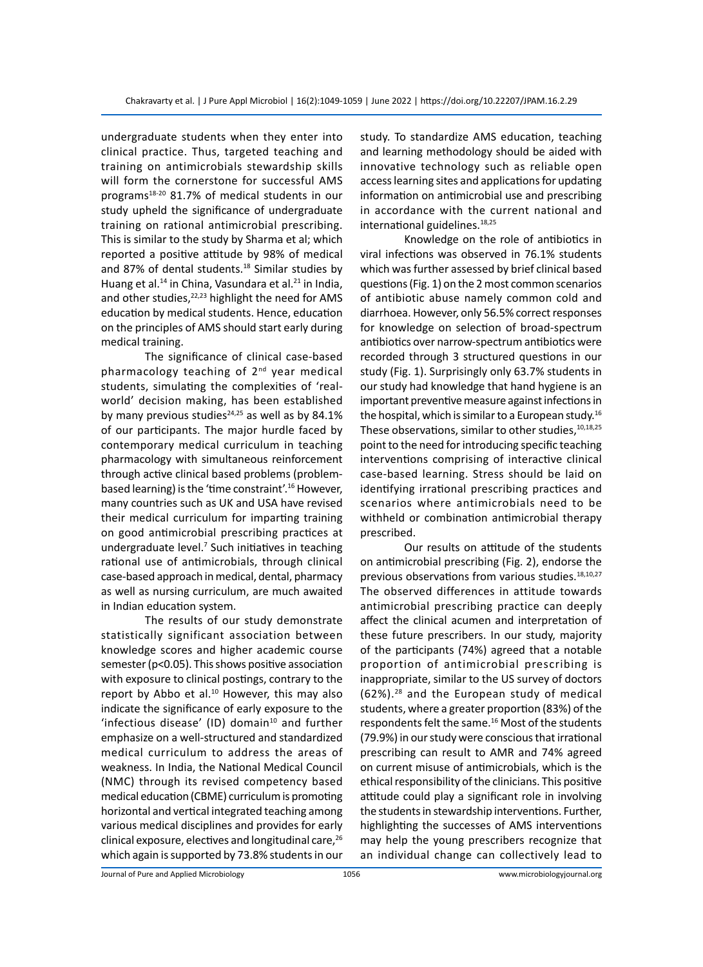undergraduate students when they enter into clinical practice. Thus, targeted teaching and training on antimicrobials stewardship skills will form the cornerstone for successful AMS programs18-20 81.7% of medical students in our study upheld the significance of undergraduate training on rational antimicrobial prescribing. This is similar to the study by Sharma et al; which reported a positive attitude by 98% of medical and 87% of dental students.<sup>18</sup> Similar studies by Huang et al.<sup>14</sup> in China, Vasundara et al.<sup>21</sup> in India, and other studies, $22,23$  highlight the need for AMS education by medical students. Hence, education on the principles of AMS should start early during medical training.

The significance of clinical case-based pharmacology teaching of 2<sup>nd</sup> year medical students, simulating the complexities of 'realworld' decision making, has been established by many previous studies $24,25$  as well as by 84.1% of our participants. The major hurdle faced by contemporary medical curriculum in teaching pharmacology with simultaneous reinforcement through active clinical based problems (problembased learning) is the 'time constraint'.<sup>16</sup> However, many countries such as UK and USA have revised their medical curriculum for imparting training on good antimicrobial prescribing practices at undergraduate level.<sup>7</sup> Such initiatives in teaching rational use of antimicrobials, through clinical case-based approach in medical, dental, pharmacy as well as nursing curriculum, are much awaited in Indian education system.

The results of our study demonstrate statistically significant association between knowledge scores and higher academic course semester (p<0.05). This shows positive association with exposure to clinical postings, contrary to the report by Abbo et al.<sup>10</sup> However, this may also indicate the significance of early exposure to the 'infectious disease' (ID) domain $10$  and further emphasize on a well-structured and standardized medical curriculum to address the areas of weakness. In India, the National Medical Council (NMC) through its revised competency based medical education (CBME) curriculum is promoting horizontal and vertical integrated teaching among various medical disciplines and provides for early clinical exposure, electives and longitudinal care,<sup>26</sup> which again is supported by 73.8% students in our study. To standardize AMS education, teaching and learning methodology should be aided with innovative technology such as reliable open access learning sites and applications for updating information on antimicrobial use and prescribing in accordance with the current national and international guidelines.<sup>18,25</sup>

Knowledge on the role of antibiotics in viral infections was observed in 76.1% students which was further assessed by brief clinical based questions (Fig. 1) on the 2 most common scenarios of antibiotic abuse namely common cold and diarrhoea. However, only 56.5% correct responses for knowledge on selection of broad-spectrum antibiotics over narrow-spectrum antibiotics were recorded through 3 structured questions in our study (Fig. 1). Surprisingly only 63.7% students in our study had knowledge that hand hygiene is an important preventive measure against infections in the hospital, which is similar to a European study.<sup>16</sup> These observations, similar to other studies, 10,18,25 point to the need for introducing specific teaching interventions comprising of interactive clinical case-based learning. Stress should be laid on identifying irrational prescribing practices and scenarios where antimicrobials need to be withheld or combination antimicrobial therapy prescribed.

Our results on attitude of the students on antimicrobial prescribing (Fig. 2), endorse the previous observations from various studies.<sup>18,10,27</sup> The observed differences in attitude towards antimicrobial prescribing practice can deeply affect the clinical acumen and interpretation of these future prescribers. In our study, majority of the participants (74%) agreed that a notable proportion of antimicrobial prescribing is inappropriate, similar to the US survey of doctors (62%).<sup>28</sup> and the European study of medical students, where a greater proportion (83%) of the respondents felt the same.<sup>16</sup> Most of the students (79.9%) in our study were conscious that irrational prescribing can result to AMR and 74% agreed on current misuse of antimicrobials, which is the ethical responsibility of the clinicians. This positive attitude could play a significant role in involving the students in stewardship interventions. Further, highlighting the successes of AMS interventions may help the young prescribers recognize that an individual change can collectively lead to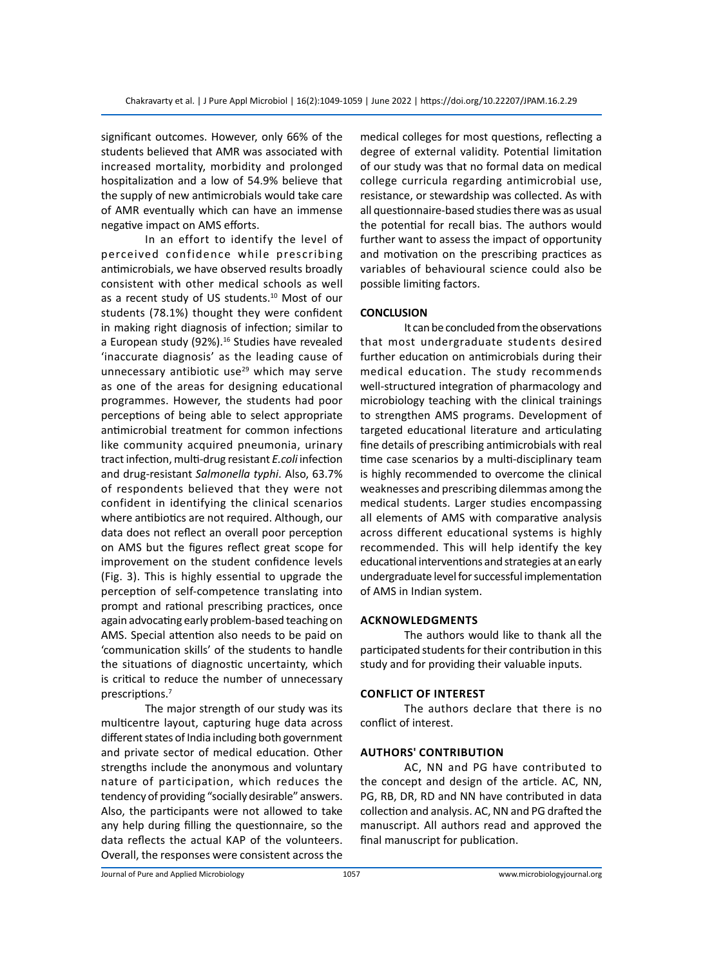significant outcomes. However, only 66% of the students believed that AMR was associated with increased mortality, morbidity and prolonged hospitalization and a low of 54.9% believe that the supply of new antimicrobials would take care of AMR eventually which can have an immense negative impact on AMS efforts.

In an effort to identify the level of perceived confidence while prescribing antimicrobials, we have observed results broadly consistent with other medical schools as well as a recent study of US students.<sup>10</sup> Most of our students (78.1%) thought they were confident in making right diagnosis of infection; similar to a European study (92%).<sup>16</sup> Studies have revealed 'inaccurate diagnosis' as the leading cause of unnecessary antibiotic use $^{29}$  which may serve as one of the areas for designing educational programmes. However, the students had poor perceptions of being able to select appropriate antimicrobial treatment for common infections like community acquired pneumonia, urinary tract infection, multi-drug resistant *E.coli* infection and drug-resistant *Salmonella typhi*. Also, 63.7% of respondents believed that they were not confident in identifying the clinical scenarios where antibiotics are not required. Although, our data does not reflect an overall poor perception on AMS but the figures reflect great scope for improvement on the student confidence levels (Fig. 3). This is highly essential to upgrade the perception of self-competence translating into prompt and rational prescribing practices, once again advocating early problem-based teaching on AMS. Special attention also needs to be paid on 'communication skills' of the students to handle the situations of diagnostic uncertainty, which is critical to reduce the number of unnecessary prescriptions.<sup>7</sup>

The major strength of our study was its multicentre layout, capturing huge data across different states of India including both government and private sector of medical education. Other strengths include the anonymous and voluntary nature of participation, which reduces the tendency of providing "socially desirable" answers. Also, the participants were not allowed to take any help during filling the questionnaire, so the data reflects the actual KAP of the volunteers. Overall, the responses were consistent across the medical colleges for most questions, reflecting a degree of external validity. Potential limitation of our study was that no formal data on medical college curricula regarding antimicrobial use, resistance, or stewardship was collected. As with all questionnaire-based studies there was as usual the potential for recall bias. The authors would further want to assess the impact of opportunity and motivation on the prescribing practices as variables of behavioural science could also be possible limiting factors.

# **CONCLUSION**

It can be concluded from the observations that most undergraduate students desired further education on antimicrobials during their medical education. The study recommends well-structured integration of pharmacology and microbiology teaching with the clinical trainings to strengthen AMS programs. Development of targeted educational literature and articulating fine details of prescribing antimicrobials with real time case scenarios by a multi-disciplinary team is highly recommended to overcome the clinical weaknesses and prescribing dilemmas among the medical students. Larger studies encompassing all elements of AMS with comparative analysis across different educational systems is highly recommended. This will help identify the key educational interventions and strategies at an early undergraduate level for successful implementation of AMS in Indian system.

#### **Acknowledgments**

The authors would like to thank all the participated students for their contribution in this study and for providing their valuable inputs.

#### **Conflict of Interest**

The authors declare that there is no conflict of interest.

# **AuthorS' Contribution**

AC, NN and PG have contributed to the concept and design of the article. AC, NN, PG, RB, DR, RD and NN have contributed in data collection and analysis. AC, NN and PG drafted the manuscript. All authors read and approved the final manuscript for publication.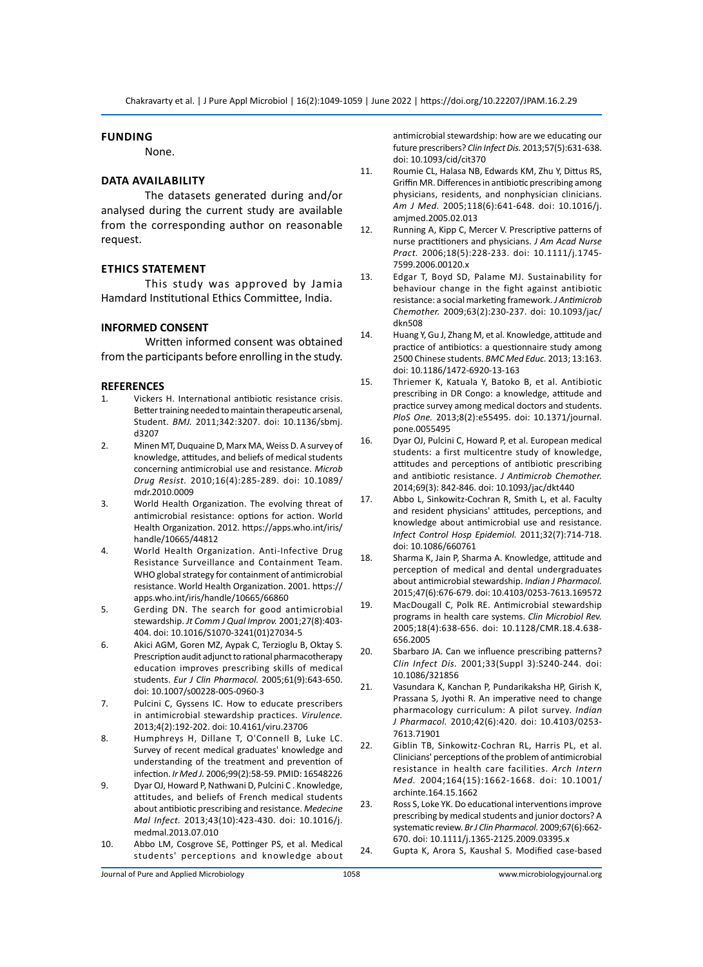#### **Funding**

None.

# **Data Availability**

The datasets generated during and/or analysed during the current study are available from the corresponding author on reasonable request.

# **Ethics Statement**

This study was approved by Jamia Hamdard Institutional Ethics Committee, India.

#### **INFORMED CONSENT**

Written informed consent was obtained from the participants before enrolling in the study.

#### **REFERENCES**

- 1. Vickers H. International antibiotic resistance crisis. Better training needed to maintain therapeutic arsenal, Student. *BMJ.* 2011;342:3207. doi: 10.1136/sbmj. d3207
- 2. Minen MT, Duquaine D, Marx MA, Weiss D. A survey of knowledge, attitudes, and beliefs of medical students concerning antimicrobial use and resistance. *Microb Drug Resist.* 2010;16(4):285-289. doi: 10.1089/ mdr.2010.0009
- 3. World Health Organization. The evolving threat of antimicrobial resistance: options for action. World Health Organization. 2012. https://apps.who.int/iris/ handle/10665/44812
- 4. World Health Organization. Anti-Infective Drug Resistance Surveillance and Containment Team. WHO global strategy for containment of antimicrobial resistance. World Health Organization. 2001. https:// apps.who.int/iris/handle/10665/66860
- 5. Gerding DN. The search for good antimicrobial stewardship. *Jt Comm J Qual Improv.* 2001;27(8):403- 404. doi: 10.1016/S1070-3241(01)27034-5
- 6. Akici AGM, Goren MZ, Aypak C, Terzioglu B, Oktay S. Prescription audit adjunct to rational pharmacotherapy education improves prescribing skills of medical students. *Eur J Clin Pharmacol.* 2005;61(9):643-650. doi: 10.1007/s00228-005-0960-3
- 7. Pulcini C, Gyssens IC. How to educate prescribers in antimicrobial stewardship practices. *Virulence.* 2013;4(2):192-202. doi: 10.4161/viru.23706
- 8. Humphreys H, Dillane T, O'Connell B, Luke LC. Survey of recent medical graduates' knowledge and understanding of the treatment and prevention of infection. *Ir Med J.* 2006;99(2):58-59. PMID: 16548226
- 9. Dyar OJ, Howard P, Nathwani D, Pulcini C . Knowledge, attitudes, and beliefs of French medical students about antibiotic prescribing and resistance. *Medecine Mal Infect.* 2013;43(10):423-430. doi: 10.1016/j. medmal.2013.07.010
- 10. Abbo LM, Cosgrove SE, Pottinger PS, et al. Medical students' perceptions and knowledge about

antimicrobial stewardship: how are we educating our future prescribers? *Clin Infect Dis.* 2013;57(5):631-638. doi: 10.1093/cid/cit370

- 11. Roumie CL, Halasa NB, Edwards KM, Zhu Y, Dittus RS, Griffin MR. Differences in antibiotic prescribing among physicians, residents, and nonphysician clinicians. *Am J Med.* 2005;118(6):641-648. doi: 10.1016/j. amjmed.2005.02.013
- 12. Running A, Kipp C, Mercer V. Prescriptive patterns of nurse practitioners and physicians. *J Am Acad Nurse Pract.* 2006;18(5):228-233. doi: 10.1111/j.1745- 7599.2006.00120.x
- 13. Edgar T, Boyd SD, Palame MJ. Sustainability for behaviour change in the fight against antibiotic resistance: a social marketing framework. *J Antimicrob Chemother.* 2009;63(2):230-237. doi: 10.1093/jac/ dkn508
- 14. Huang Y, Gu J, Zhang M, et al. Knowledge, attitude and practice of antibiotics: a questionnaire study among 2500 Chinese students. *BMC Med Educ.* 2013; 13:163. doi: 10.1186/1472-6920-13-163
- 15. Thriemer K, Katuala Y, Batoko B, et al. Antibiotic prescribing in DR Congo: a knowledge, attitude and practice survey among medical doctors and students. *PloS One.* 2013;8(2):e55495. doi: 10.1371/journal. pone.0055495
- 16. Dyar OJ, Pulcini C, Howard P, et al. European medical students: a first multicentre study of knowledge, attitudes and perceptions of antibiotic prescribing and antibiotic resistance. *J Antimicrob Chemother.*  2014;69(3): 842-846. doi: 10.1093/jac/dkt440
- 17. Abbo L, Sinkowitz-Cochran R, Smith L, et al. Faculty and resident physicians' attitudes, perceptions, and knowledge about antimicrobial use and resistance. *Infect Control Hosp Epidemiol.* 2011;32(7):714-718. doi: 10.1086/660761
- 18. Sharma K, Jain P, Sharma A. Knowledge, attitude and perception of medical and dental undergraduates about antimicrobial stewardship. *Indian J Pharmacol.*  2015;47(6):676-679. doi: 10.4103/0253-7613.169572
- 19. MacDougall C, Polk RE. Antimicrobial stewardship programs in health care systems. *Clin Microbiol Rev.* 2005;18(4):638-656. doi: 10.1128/CMR.18.4.638- 656.2005
- 20. Sbarbaro JA. Can we influence prescribing patterns? *Clin Infect Dis.* 2001;33(Suppl 3):S240-244. doi: 10.1086/321856
- 21. Vasundara K, Kanchan P, Pundarikaksha HP, Girish K, Prassana S, Jyothi R. An imperative need to change pharmacology curriculum: A pilot survey. *Indian J Pharmacol.* 2010;42(6):420. doi: 10.4103/0253- 7613.71901
- 22. Giblin TB, Sinkowitz-Cochran RL, Harris PL, et al. Clinicians' perceptions of the problem of antimicrobial resistance in health care facilities. *Arch Intern Med.* 2004;164(15):1662-1668. doi: 10.1001/ archinte.164.15.1662
- 23. Ross S, Loke YK. Do educational interventions improve prescribing by medical students and junior doctors? A systematic review. *Br J Clin Pharmacol.* 2009;67(6):662- 670. doi: 10.1111/j.1365-2125.2009.03395.x
- 24. Gupta K, Arora S, Kaushal S. Modified case-based